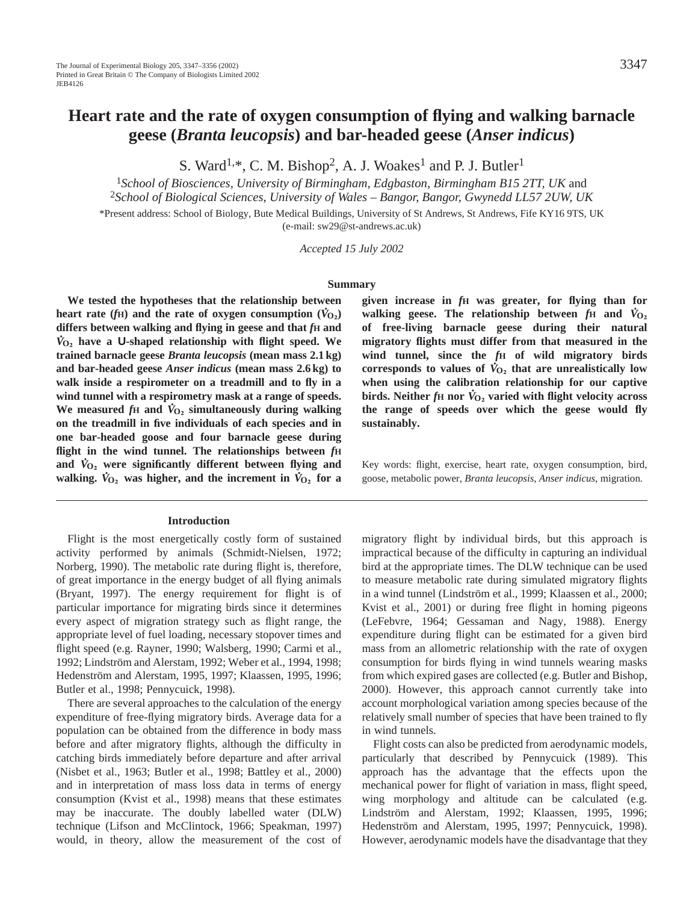# **Heart rate and the rate of oxygen consumption of flying and walking barnacle geese (***Branta leucopsis***) and bar-headed geese (***Anser indicus***)**

S. Ward<sup>1,\*</sup>, C. M. Bishop<sup>2</sup>, A. J. Woakes<sup>1</sup> and P. J. Butler<sup>1</sup>

<sup>1</sup>*School of Biosciences, University of Birmingham, Edgbaston, Birmingham B15 2TT, UK* and <sup>2</sup>*School of Biological Sciences, University of Wales – Bangor, Bangor, Gwynedd LL57 2UW, UK*

\*Present address: School of Biology, Bute Medical Buildings, University of St Andrews, St Andrews, Fife KY16 9TS, UK (e-mail: sw29@st-andrews.ac.uk)

*Accepted 15 July 2002* 

#### **Summary**

**We tested the hypotheses that the relationship between .** heart rate (*f*H) and the rate of oxygen consumption ( $\dot{V}_{O_2}$ ) **differs between walking and flying in geese and that**  $f$ **<b>H** and *V* **<sup>O</sup>∑ have a U-shaped relationship with flight speed. We trained barnacle geese** *Branta leucopsis* **(mean mass 2.1 kg) and bar-headed geese** *Anser indicus* **(mean mass 2.6 kg) to walk inside a respirometer on a treadmill and to fly in a wind tunnel with a respirometry mask at a range of speeds. .** We measured  $f$ **H** and  $\dot{V}_{O_2}$  simultaneously during walking **on the treadmill in five individuals of each species and in one bar-headed goose and four barnacle geese during flight in the wind tunnel. The relationships between**  $f$ **<b>H and**  $\dot{V}_{02}$  were significantly different between flying and walking.  $\dot{V}_{O_2}$  was higher, and the increment in  $\dot{V}_{O_2}$  for a

#### **Introduction**

Flight is the most energetically costly form of sustained activity performed by animals (Schmidt-Nielsen, 1972; Norberg, 1990). The metabolic rate during flight is, therefore, of great importance in the energy budget of all flying animals (Bryant, 1997). The energy requirement for flight is of particular importance for migrating birds since it determines every aspect of migration strategy such as flight range, the appropriate level of fuel loading, necessary stopover times and flight speed (e.g. Rayner, 1990; Walsberg, 1990; Carmi et al., 1992; Lindström and Alerstam, 1992; Weber et al., 1994, 1998; Hedenström and Alerstam, 1995, 1997; Klaassen, 1995, 1996; Butler et al., 1998; Pennycuick, 1998).

There are several approaches to the calculation of the energy expenditure of free-flying migratory birds. Average data for a population can be obtained from the difference in body mass before and after migratory flights, although the difficulty in catching birds immediately before departure and after arrival (Nisbet et al., 1963; Butler et al., 1998; Battley et al., 2000) and in interpretation of mass loss data in terms of energy consumption (Kvist et al., 1998) means that these estimates may be inaccurate. The doubly labelled water (DLW) technique (Lifson and McClintock, 1966; Speakman, 1997) would, in theory, allow the measurement of the cost of

**given increase in** *f***H was greater, for flying than for .** walking geese. The relationship between  $f$ H and  $\dot{V}_{O_2}$ **of free-living barnacle geese during their natural migratory flights must differ from that measured in the wind tunnel, since the** *f***H of wild migratory birds .** corresponds to values of  $\dot{V}_{O_2}$  that are unrealistically low **when using the calibration relationship for our captive .** birds. Neither  $f$ **H** nor  $\dot{V}_{\text{O}_2}$  varied with flight velocity across **the range of speeds over which the geese would fly sustainably.**

Key words: flight, exercise, heart rate, oxygen consumption, bird, goose, metabolic power, *Branta leucopsis*, *Anser indicus*, migration*.*

migratory flight by individual birds, but this approach is impractical because of the difficulty in capturing an individual bird at the appropriate times. The DLW technique can be used to measure metabolic rate during simulated migratory flights in a wind tunnel (Lindström et al., 1999; Klaassen et al., 2000; Kvist et al., 2001) or during free flight in homing pigeons (LeFebvre, 1964; Gessaman and Nagy, 1988). Energy expenditure during flight can be estimated for a given bird mass from an allometric relationship with the rate of oxygen consumption for birds flying in wind tunnels wearing masks from which expired gases are collected (e.g. Butler and Bishop, 2000). However, this approach cannot currently take into account morphological variation among species because of the relatively small number of species that have been trained to fly in wind tunnels.

Flight costs can also be predicted from aerodynamic models, particularly that described by Pennycuick (1989). This approach has the advantage that the effects upon the mechanical power for flight of variation in mass, flight speed, wing morphology and altitude can be calculated (e.g. Lindström and Alerstam, 1992; Klaassen, 1995, 1996; Hedenström and Alerstam, 1995, 1997; Pennycuick, 1998). However, aerodynamic models have the disadvantage that they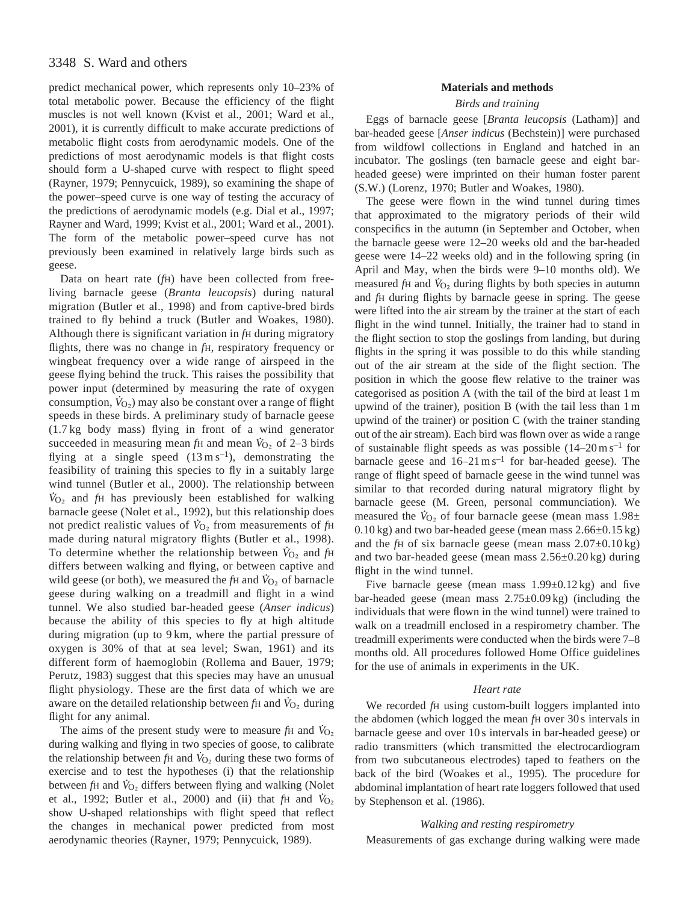# 3348 S. Ward and others

predict mechanical power, which represents only 10–23% of total metabolic power. Because the efficiency of the flight muscles is not well known (Kvist et al., 2001; Ward et al., 2001), it is currently difficult to make accurate predictions of metabolic flight costs from aerodynamic models. One of the predictions of most aerodynamic models is that flight costs should form a U-shaped curve with respect to flight speed (Rayner, 1979; Pennycuick, 1989), so examining the shape of the power–speed curve is one way of testing the accuracy of the predictions of aerodynamic models (e.g. Dial et al., 1997; Rayner and Ward, 1999; Kvist et al., 2001; Ward et al., 2001). The form of the metabolic power–speed curve has not previously been examined in relatively large birds such as geese.

Data on heart rate (*f*H) have been collected from freeliving barnacle geese (*Branta leucopsis*) during natural migration (Butler et al., 1998) and from captive-bred birds trained to fly behind a truck (Butler and Woakes, 1980). Although there is significant variation in *f*H during migratory flights, there was no change in *f*H, respiratory frequency or wingbeat frequency over a wide range of airspeed in the geese flying behind the truck. This raises the possibility that power input (determined by measuring the rate of oxygen consumption,  $\dot{V}_{\text{O}_2}$ ) may also be constant over a range of flight speeds in these birds. A preliminary study of barnacle geese (1.7 kg body mass) flying in front of a wind generator . succeeded in measuring mean  $f_H$  and mean  $V_{O_2}$  of 2–3 birds flying at a single speed  $(13 \text{ m s}^{-1})$ , demonstrating the feasibility of training this species to fly in a suitably large wind tunnel (Butler et al., 2000). The relationship between *V* <sup>O</sup>∑ and *f*<sup>H</sup> has previously been established for walking barnacle geese (Nolet et al., 1992), but this relationship does not predict realistic values of  $\dot{V}_{O_2}$  from measurements of *f*H made during natural migratory flights (Butler et al., 1998). . To determine whether the relationship between  $\dot{V}_{\text{O}_2}$  and  $f_{\text{H}}$ differs between walking and flying, or between captive and wild geese (or both), we measured the *f*H and  $\dot{V}_{O_2}$  of barnacle geese during walking on a treadmill and flight in a wind tunnel. We also studied bar-headed geese (*Anser indicus*) because the ability of this species to fly at high altitude during migration (up to 9 km, where the partial pressure of oxygen is 30% of that at sea level; Swan, 1961) and its different form of haemoglobin (Rollema and Bauer, 1979; Perutz, 1983) suggest that this species may have an unusual flight physiology. These are the first data of which we are aware on the detailed relationship between  $f$ <sup>H</sup> and  $\dot{V}_{O_2}$  during flight for any animal.

The aims of the present study were to measure *fH* and  $\dot{V}_{O_2}$ during walking and flying in two species of goose, to calibrate . the relationship between  $fH$  and  $V_{O_2}$  during these two forms of exercise and to test the hypotheses (i) that the relationship between *f*H and  $\dot{V}_{\text{O}_2}$  differs between flying and walking (Nolet et al., 1992; Butler et al., 2000) and (ii) that  $fH$  and  $V_{O_2}$ show U-shaped relationships with flight speed that reflect the changes in mechanical power predicted from most aerodynamic theories (Rayner, 1979; Pennycuick, 1989).

### **Materials and methods**

#### *Birds and training*

Eggs of barnacle geese [*Branta leucopsis* (Latham)] and bar-headed geese [*Anser indicus* (Bechstein)] were purchased from wildfowl collections in England and hatched in an incubator. The goslings (ten barnacle geese and eight barheaded geese) were imprinted on their human foster parent (S.W.) (Lorenz, 1970; Butler and Woakes, 1980).

The geese were flown in the wind tunnel during times that approximated to the migratory periods of their wild conspecifics in the autumn (in September and October, when the barnacle geese were 12–20 weeks old and the bar-headed geese were 14–22 weeks old) and in the following spring (in April and May, when the birds were 9–10 months old). We measured *f*H and  $\dot{V}_{O_2}$  during flights by both species in autumn and *f*H during flights by barnacle geese in spring. The geese were lifted into the air stream by the trainer at the start of each flight in the wind tunnel. Initially, the trainer had to stand in the flight section to stop the goslings from landing, but during flights in the spring it was possible to do this while standing out of the air stream at the side of the flight section. The position in which the goose flew relative to the trainer was categorised as position A (with the tail of the bird at least 1 m upwind of the trainer), position B (with the tail less than 1 m upwind of the trainer) or position C (with the trainer standing out of the air stream). Each bird was flown over as wide a range of sustainable flight speeds as was possible  $(14-20 \text{ m s}^{-1})$  for barnacle geese and  $16-21 \text{ m s}^{-1}$  for bar-headed geese). The range of flight speed of barnacle geese in the wind tunnel was similar to that recorded during natural migratory flight by barnacle geese (M. Green, personal communciation). We measured the  $\dot{V}_{O_2}$  of four barnacle geese (mean mass  $1.98\pm$ 0.10 kg) and two bar-headed geese (mean mass 2.66±0.15 kg) and the *f*H of six barnacle geese (mean mass 2.07±0.10 kg) and two bar-headed geese (mean mass 2.56±0.20 kg) during flight in the wind tunnel.

Five barnacle geese (mean mass  $1.99\pm0.12$  kg) and five bar-headed geese (mean mass 2.75±0.09 kg) (including the individuals that were flown in the wind tunnel) were trained to walk on a treadmill enclosed in a respirometry chamber. The treadmill experiments were conducted when the birds were 7–8 months old. All procedures followed Home Office guidelines for the use of animals in experiments in the UK.

### *Heart rate*

We recorded *f*H using custom-built loggers implanted into the abdomen (which logged the mean *f*H over 30 s intervals in barnacle geese and over 10 s intervals in bar-headed geese) or radio transmitters (which transmitted the electrocardiogram from two subcutaneous electrodes) taped to feathers on the back of the bird (Woakes et al., 1995). The procedure for abdominal implantation of heart rate loggers followed that used by Stephenson et al. (1986).

### *Walking and resting respirometry*

Measurements of gas exchange during walking were made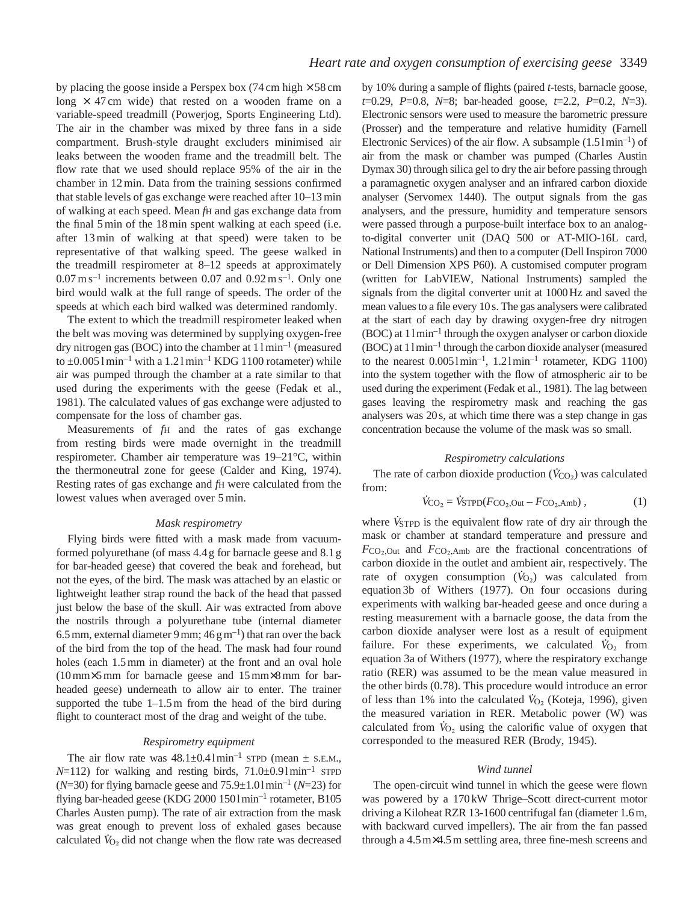by placing the goose inside a Perspex box (74 cm high  $\times$  58 cm long  $\times$  47 cm wide) that rested on a wooden frame on a variable-speed treadmill (Powerjog, Sports Engineering Ltd). The air in the chamber was mixed by three fans in a side compartment. Brush-style draught excluders minimised air leaks between the wooden frame and the treadmill belt. The flow rate that we used should replace 95% of the air in the chamber in 12 min. Data from the training sessions confirmed that stable levels of gas exchange were reached after 10–13 min of walking at each speed. Mean *f*H and gas exchange data from the final 5 min of the 18 min spent walking at each speed (i.e. after 13 min of walking at that speed) were taken to be representative of that walking speed. The geese walked in the treadmill respirometer at 8–12 speeds at approximately  $0.07 \text{ m s}^{-1}$  increments between 0.07 and 0.92 m s<sup>-1</sup>. Only one bird would walk at the full range of speeds. The order of the speeds at which each bird walked was determined randomly.

The extent to which the treadmill respirometer leaked when the belt was moving was determined by supplying oxygen-free dry nitrogen gas (BOC) into the chamber at  $11 \text{min}^{-1}$  (measured to  $\pm 0.0051$  min<sup>-1</sup> with a 1.21 min<sup>-1</sup> KDG 1100 rotameter) while air was pumped through the chamber at a rate similar to that used during the experiments with the geese (Fedak et al., 1981). The calculated values of gas exchange were adjusted to compensate for the loss of chamber gas.

Measurements of *f*H and the rates of gas exchange from resting birds were made overnight in the treadmill respirometer. Chamber air temperature was 19–21°C, within the thermoneutral zone for geese (Calder and King, 1974). Resting rates of gas exchange and *f*H were calculated from the lowest values when averaged over 5 min.

### *Mask respirometry*

Flying birds were fitted with a mask made from vacuumformed polyurethane (of mass 4.4 g for barnacle geese and 8.1 g for bar-headed geese) that covered the beak and forehead, but not the eyes, of the bird. The mask was attached by an elastic or lightweight leather strap round the back of the head that passed just below the base of the skull. Air was extracted from above the nostrils through a polyurethane tube (internal diameter 6.5 mm, external diameter 9 mm;  $46 \text{ g m}^{-1}$ ) that ran over the back of the bird from the top of the head. The mask had four round holes (each 1.5 mm in diameter) at the front and an oval hole (10 mm×5 mm for barnacle geese and 15 mm×8 mm for barheaded geese) underneath to allow air to enter. The trainer supported the tube  $1-1.5$  m from the head of the bird during flight to counteract most of the drag and weight of the tube.

#### *Respirometry equipment*

The air flow rate was  $48.1 \pm 0.41 \text{min}^{-1}$  STPD (mean  $\pm$  s.e.m.,  $N=112$ ) for walking and resting birds,  $71.0\pm0.91$  min<sup>-1</sup> STPD  $(N=30)$  for flying barnacle geese and  $75.9\pm1.01$  min<sup>-1</sup> (*N*=23) for flying bar-headed geese (KDG 2000 150lmin–1 rotameter, B105 Charles Austen pump). The rate of air extraction from the mask was great enough to prevent loss of exhaled gases because calculated  $V_{O<sub>2</sub>}$  did not change when the flow rate was decreased

by 10% during a sample of flights (paired *t*-tests, barnacle goose, *t*=0.29, *P*=0.8, *N*=8; bar-headed goose, *t*=2.2, *P*=0.2, *N*=3). Electronic sensors were used to measure the barometric pressure (Prosser) and the temperature and relative humidity (Farnell Electronic Services) of the air flow. A subsample  $(1.51 \text{min}^{-1})$  of air from the mask or chamber was pumped (Charles Austin Dymax 30) through silica gel to dry the air before passing through a paramagnetic oxygen analyser and an infrared carbon dioxide analyser (Servomex 1440). The output signals from the gas analysers, and the pressure, humidity and temperature sensors were passed through a purpose-built interface box to an analogto-digital converter unit (DAQ 500 or AT-MIO-16L card, National Instruments) and then to a computer (Dell Inspiron 7000 or Dell Dimension XPS P60). A customised computer program (written for LabVIEW, National Instruments) sampled the signals from the digital converter unit at 1000Hz and saved the mean values to a file every 10s. The gas analysers were calibrated at the start of each day by drawing oxygen-free dry nitrogen  $(BOC)$  at  $11$  min<sup>-1</sup> through the oxygen analyser or carbon dioxide  $(BOC)$  at  $11$  min<sup>-1</sup> through the carbon dioxide analyser (measured to the nearest  $0.0051$  min<sup>-1</sup>,  $1.21$  min<sup>-1</sup> rotameter, KDG 1100) into the system together with the flow of atmospheric air to be used during the experiment (Fedak et al., 1981). The lag between gases leaving the respirometry mask and reaching the gas analysers was 20s, at which time there was a step change in gas concentration because the volume of the mask was so small.

### *Respirometry calculations*

The rate of carbon dioxide production  $(\dot{V}_{CO_2})$  was calculated from: . .

$$
\dot{V}_{\text{CO}_2} = \dot{V}_{\text{STPD}}(F_{\text{CO}_2,\text{Out}} - F_{\text{CO}_2,\text{Amb}}),\tag{1}
$$

where  $\dot{V}_{\text{STPD}}$  is the equivalent flow rate of dry air through the mask or chamber at standard temperature and pressure and  $F_{\text{CO}_2,\text{Out}}$  and  $F_{\text{CO}_2,\text{Amb}}$  are the fractional concentrations of carbon dioxide in the outlet and ambient air, respectively. The . rate of oxygen consumption  $(\dot{V}_{O_2})$  was calculated from equation 3b of Withers (1977). On four occasions during experiments with walking bar-headed geese and once during a resting measurement with a barnacle goose, the data from the carbon dioxide analyser were lost as a result of equipment . failure. For these experiments, we calculated  $V_{\text{O}_2}$  from equation 3a of Withers (1977), where the respiratory exchange ratio (RER) was assumed to be the mean value measured in the other birds (0.78). This procedure would introduce an error . of less than 1% into the calculated  $V_{O<sub>2</sub>}$  (Koteja, 1996), given the measured variation in RER. Metabolic power (W) was . calculated from  $\dot{V}_{O_2}$  using the calorific value of oxygen that corresponded to the measured RER (Brody, 1945).

#### *Wind tunnel*

The open-circuit wind tunnel in which the geese were flown was powered by a 170 kW Thrige–Scott direct-current motor driving a Kiloheat RZR 13-1600 centrifugal fan (diameter 1.6 m, with backward curved impellers). The air from the fan passed through a 4.5 m×4.5 m settling area, three fine-mesh screens and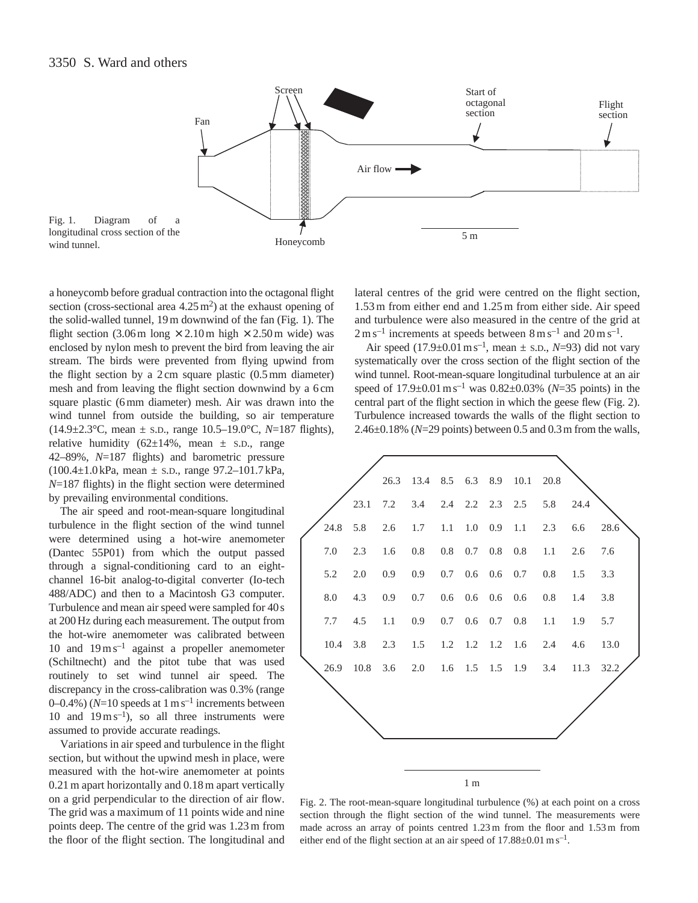

a honeycomb before gradual contraction into the octagonal flight section (cross-sectional area  $4.25 \,\mathrm{m}^2$ ) at the exhaust opening of the solid-walled tunnel, 19 m downwind of the fan (Fig. 1). The flight section (3.06 m long  $\times$  2.10 m high  $\times$  2.50 m wide) was enclosed by nylon mesh to prevent the bird from leaving the air stream. The birds were prevented from flying upwind from the flight section by a 2 cm square plastic (0.5 mm diameter) mesh and from leaving the flight section downwind by a 6 cm square plastic (6 mm diameter) mesh. Air was drawn into the wind tunnel from outside the building, so air temperature (14.9±2.3°C, mean ± S.D., range 10.5–19.0°C, *N*=187 flights), relative humidity  $(62\pm14\% , \text{ mean } \pm \text{ s.D., range})$ 42–89%, *N*=187 flights) and barometric pressure (100.4±1.0 kPa, mean ± S.D., range 97.2–101.7 kPa, *N*=187 flights) in the flight section were determined by prevailing environmental conditions.

The air speed and root-mean-square longitudinal turbulence in the flight section of the wind tunnel were determined using a hot-wire anemometer (Dantec 55P01) from which the output passed through a signal-conditioning card to an eightchannel 16-bit analog-to-digital converter (Io-tech 488/ADC) and then to a Macintosh G3 computer. Turbulence and mean air speed were sampled for 40 s at 200 Hz during each measurement. The output from the hot-wire anemometer was calibrated between 10 and  $19 \text{ m s}^{-1}$  against a propeller anemometer (Schiltnecht) and the pitot tube that was used routinely to set wind tunnel air speed. The discrepancy in the cross-calibration was 0.3% (range 0–0.4%) ( $N=10$  speeds at  $1 \text{ m s}^{-1}$  increments between 10 and  $19 \text{ m s}^{-1}$ ), so all three instruments were assumed to provide accurate readings.

Variations in air speed and turbulence in the flight section, but without the upwind mesh in place, were measured with the hot-wire anemometer at points 0.21 m apart horizontally and 0.18 m apart vertically on a grid perpendicular to the direction of air flow. The grid was a maximum of 11 points wide and nine points deep. The centre of the grid was 1.23 m from the floor of the flight section. The longitudinal and

lateral centres of the grid were centred on the flight section, 1.53 m from either end and 1.25 m from either side. Air speed and turbulence were also measured in the centre of the grid at  $2 \text{ m s}^{-1}$  increments at speeds between  $8 \text{ m s}^{-1}$  and  $20 \text{ m s}^{-1}$ .

Air speed  $(17.9 \pm 0.01 \text{ m s}^{-1})$ , mean  $\pm$  s.D., *N*=93) did not vary systematically over the cross section of the flight section of the wind tunnel. Root-mean-square longitudinal turbulence at an air speed of 17.9±0.01ms–1 was 0.82±0.03% (*N*=35 points) in the central part of the flight section in which the geese flew (Fig. 2). Turbulence increased towards the walls of the flight section to 2.46±0.18% (*N*=29 points) between 0.5 and 0.3m from the walls,



Fig. 2. The root-mean-square longitudinal turbulence (%) at each point on a cross section through the flight section of the wind tunnel. The measurements were made across an array of points centred 1.23 m from the floor and 1.53 m from either end of the flight section at an air speed of  $17.88\pm0.01$  m s<sup>-1</sup>.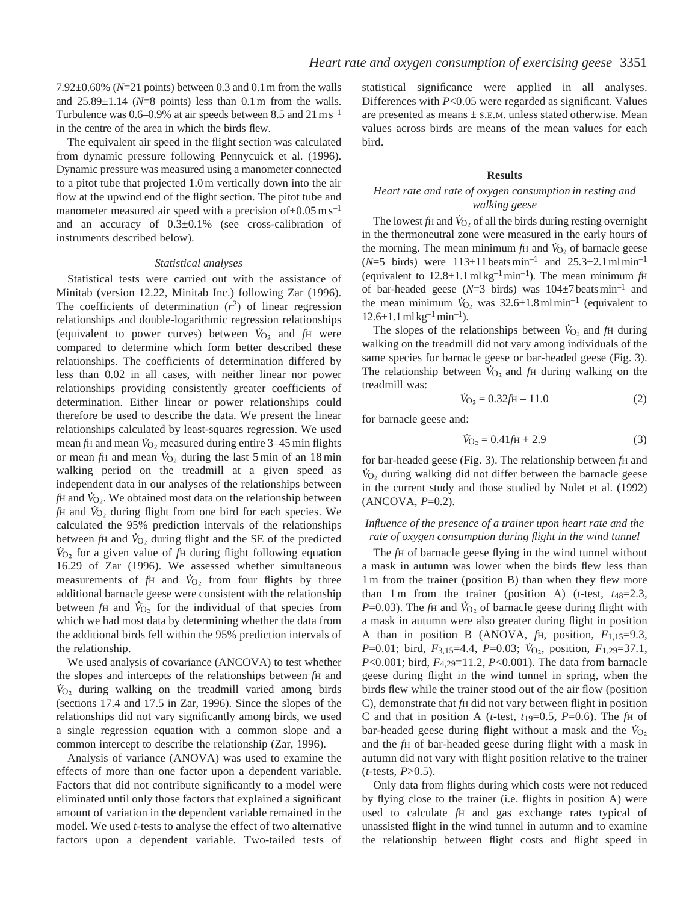7.92±0.60% (*N*=21 points) between 0.3 and 0.1m from the walls and 25.89±1.14 (*N*=8 points) less than 0.1m from the walls. Turbulence was  $0.6-0.9\%$  at air speeds between 8.5 and 21 m s<sup>-1</sup> in the centre of the area in which the birds flew.

The equivalent air speed in the flight section was calculated from dynamic pressure following Pennycuick et al. (1996). Dynamic pressure was measured using a manometer connected to a pitot tube that projected 1.0 m vertically down into the air flow at the upwind end of the flight section. The pitot tube and manometer measured air speed with a precision of $\pm 0.05$  m s<sup>-1</sup> and an accuracy of 0.3±0.1% (see cross-calibration of instruments described below).

#### *Statistical analyses*

Statistical tests were carried out with the assistance of Minitab (version 12.22, Minitab Inc.) following Zar (1996). The coefficients of determination  $(r^2)$  of linear regression relationships and double-logarithmic regression relationships (equivalent to power curves) between  $\dot{V}_{O_2}$  and  $f_H$  were compared to determine which form better described these relationships. The coefficients of determination differed by less than 0.02 in all cases, with neither linear nor power relationships providing consistently greater coefficients of determination. Either linear or power relationships could therefore be used to describe the data. We present the linear relationships calculated by least-squares regression. We used mean *f*H and mean  $\dot{V}_{\text{O}_2}$  measured during entire 3–45 min flights or mean  $fH$  and mean  $\dot{V}_{O_2}$  during the last 5 min of an 18 min walking period on the treadmill at a given speed as independent data in our analyses of the relationships between . *fH* and  $V_{\text{O}_2}$ . We obtained most data on the relationship between  $f$ H and  $\dot{V}_{O_2}$  during flight from one bird for each species. We calculated the 95% prediction intervals of the relationships . between *f*H and  $V_{\text{O}_2}$  during flight and the SE of the predicted *V* <sup>O</sup>∑ for a given value of *f*<sup>H</sup> during flight following equation 16.29 of Zar (1996). We assessed whether simultaneous . measurements of  $fH$  and  $\dot{V}_{O_2}$  from four flights by three additional barnacle geese were consistent with the relationship . between  $fH$  and  $\dot{V}_{O_2}$  for the individual of that species from which we had most data by determining whether the data from the additional birds fell within the 95% prediction intervals of the relationship.

We used analysis of covariance (ANCOVA) to test whether the slopes and intercepts of the relationships between *f*H and . *V* <sup>O</sup>∑ during walking on the treadmill varied among birds (sections 17.4 and 17.5 in Zar, 1996). Since the slopes of the relationships did not vary significantly among birds, we used a single regression equation with a common slope and a common intercept to describe the relationship (Zar, 1996).

Analysis of variance (ANOVA) was used to examine the effects of more than one factor upon a dependent variable. Factors that did not contribute significantly to a model were eliminated until only those factors that explained a significant amount of variation in the dependent variable remained in the model. We used *t*-tests to analyse the effect of two alternative factors upon a dependent variable. Two-tailed tests of statistical significance were applied in all analyses. Differences with *P*<0.05 were regarded as significant. Values are presented as means ± S.E.M. unless stated otherwise. Mean values across birds are means of the mean values for each bird.

## **Results**

### *Heart rate and rate of oxygen consumption in resting and walking geese*

The lowest *f*H and  $\dot{V}_{\text{O}_2}$  of all the birds during resting overnight in the thermoneutral zone were measured in the early hours of the morning. The mean minimum  $fH$  and  $V_{O_2}$  of barnacle geese ( $N=5$  birds) were  $113 \pm 11$  beats min<sup>-1</sup> and  $25.3 \pm 2.1$  ml min<sup>-1</sup> (equivalent to  $12.8 \pm 1.1$  ml kg<sup>-1</sup> min<sup>-1</sup>). The mean minimum  $fH$ of bar-headed geese  $(N=3 \text{ birds})$  was  $104\pm7 \text{ beats min}^{-1}$  and the mean minimum  $\dot{V}_{\text{O}_2}$  was 32.6±1.8mlmin<sup>-1</sup> (equivalent to  $12.6 \pm 1.1$  ml kg<sup>-1</sup> min<sup>-1</sup>).

 $\overline{C}$ . The slopes of the relationships between  $\dot{V}_{O_2}$  and  $f_H$  during walking on the treadmill did not vary among individuals of the same species for barnacle geese or bar-headed geese (Fig. 3). The relationship between  $\dot{V}_{\text{O}_2}$  and  $f_{\text{H}}$  during walking on the treadmill was: .

$$
\dot{V}_{\text{O}_2} = 0.32 \text{fH} - 11.0 \tag{2}
$$

for barnacle geese and:

$$
\dot{V}_{\text{O}_2} = 0.41 \text{fH} + 2.9 \tag{3}
$$

for bar-headed geese (Fig. 3). The relationship between *f*H and . *V* <sup>O</sup>∑ during walking did not differ between the barnacle geese in the current study and those studied by Nolet et al. (1992) (ANCOVA, *P*=0.2).

# *Influence of the presence of a trainer upon heart rate and the rate of oxygen consumption during flight in the wind tunnel*

The *f*H of barnacle geese flying in the wind tunnel without a mask in autumn was lower when the birds flew less than 1 m from the trainer (position B) than when they flew more than 1 m from the trainer (position A) (*t*-test,  $t_{48}=2.3$ , *P*=0.03). The *f*H and  $\dot{V}_{O_2}$  of barnacle geese during flight with a mask in autumn were also greater during flight in position A than in position B (ANOVA,  $f$ H, position,  $F_{1,15}=9.3$ , *P*=0.01; bird, *F*<sub>3,15</sub>=4.4, *P*=0.03; *V*<sub>O2</sub>, position, *F*<sub>1,29</sub>=37.1, *P*<0.001; bird, *F*4,29=11.2, *P*<0.001). The data from barnacle geese during flight in the wind tunnel in spring, when the birds flew while the trainer stood out of the air flow (position C), demonstrate that *f*H did not vary between flight in position C and that in position A ( $t$ -test,  $t_1$ <sup>0=0.5,  $P$ =0.6). The  $f$ H of</sup> bar-headed geese during flight without a mask and the  $\dot{V}_{O_2}$ and the *f*H of bar-headed geese during flight with a mask in autumn did not vary with flight position relative to the trainer  $(t$ -tests,  $P > 0.5$ ).

Only data from flights during which costs were not reduced by flying close to the trainer (i.e. flights in position A) were used to calculate *f*H and gas exchange rates typical of unassisted flight in the wind tunnel in autumn and to examine the relationship between flight costs and flight speed in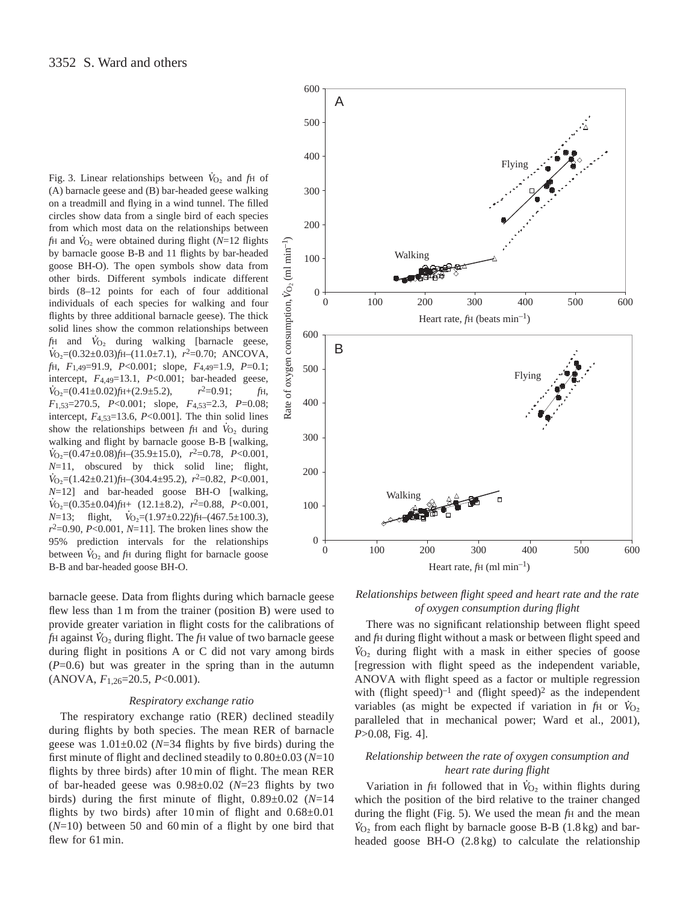Fig. 3. Linear relationships between  $\dot{V}_{\text{O}_2}$  and *f*H of (A) barnacle geese and (B) bar-headed geese walking on a treadmill and flying in a wind tunnel. The filled circles show data from a single bird of each species from which most data on the relationships between *f*H and  $\dot{V}_{\text{O}_2}$  were obtained during flight ( $\dot{N}=12$  flights by barnacle goose B-B and 11 flights by bar-headed goose BH-O). The open symbols show data from other birds. Different symbols indicate different birds (8–12 points for each of four additional individuals of each species for walking and four flights by three additional barnacle geese). The thick solid lines show the common relationships between . *fH* and  $\dot{V}_{O_2}$  during walking [barnacle geese, *V*<sub>O2</sub>=(0.32±0.03)*f*H-(11.0±7.1), *r*<sup>2</sup>=0.70; ANCOVA, *f*H, *F*1,49=91.9, *P*<0.001; slope, *F*4,49=1.9, *P*=0.1; intercept, *F*4,49=13.1, *P*<0.001; bar-headed geese, .  $\dot{V}_{\text{O}_2} = (0.41 \pm 0.02) f_{\text{H}} + (2.9 \pm 5.2),$   $r^2 = 0.91;$   $f_{\text{H}},$ *F*1,53=270.5, *P*<0.001; slope, *F*4,53=2.3, *P*=0.08; intercept,  $F_{4,53}=13.6$ ,  $P<0.001$ ]. The thin solid lines show the relationships between  $fH$  and  $\dot{V}_{O_2}$  during walking and flight by barnacle goose B-B [walking, *V* <sup>O</sup>∑=(0.47±0.08)*f*H–(35.9±15.0), *r*2=0.78, *P*<0.001,  $N=11$ , obscured by thick solid line; flight, *V* <sup>O</sup>∑=(1.42±0.21)*f*H–(304.4±95.2), *r*2=0.82, *P*<0.001,  $N=12$ ] and bar-headed goose BH-O [walking,  $V_{\text{O}_2} = (0.35 \pm 0.04) f_{\text{H+}}$  (12.1±8.2),  $r^2 = 0.88$ ,  $P < 0.001$ ,  $N=13$ ; flight,  $\dot{V}_{\text{O}_2} = (1.97 \pm 0.22) f \text{H} - (467.5 \pm 100.3)$ , *r*2=0.90, *P*<0.001, *N*=11]. The broken lines show the 95% prediction intervals for the relationships . between  $\dot{V}_{\text{O}_2}$  and *f*H during flight for barnacle goose B-B and bar-headed goose BH-O.

barnacle geese. Data from flights during which barnacle geese flew less than 1 m from the trainer (position B) were used to provide greater variation in flight costs for the calibrations of *f*H against *V* <sup>O</sup>∑ during flight. The *f*<sup>H</sup> value of two barnacle geese during flight in positions A or C did not vary among birds  $(P=0.6)$  but was greater in the spring than in the autumn (ANOVA, *F*1,26=20.5, *P*<0.001).

#### *Respiratory exchange ratio*

The respiratory exchange ratio (RER) declined steadily during flights by both species. The mean RER of barnacle geese was  $1.01 \pm 0.02$  ( $N = 34$  flights by five birds) during the first minute of flight and declined steadily to 0.80±0.03 (*N*=10 flights by three birds) after 10 min of flight. The mean RER of bar-headed geese was 0.98±0.02 (*N*=23 flights by two birds) during the first minute of flight, 0.89±0.02 (*N*=14 flights by two birds) after 10 min of flight and  $0.68\pm0.01$ (*N*=10) between 50 and 60 min of a flight by one bird that flew for 61 min.



*Relationships between flight speed and heart rate and the rate of oxygen consumption during flight*

There was no significant relationship between flight speed and *f*H during flight without a mask or between flight speed and *V* <sup>O</sup>∑ during flight with a mask in either species of goose [regression with flight speed as the independent variable, ANOVA with flight speed as a factor or multiple regression with (flight speed)<sup>-1</sup> and (flight speed)<sup>2</sup> as the independent variables (as might be expected if variation in  $fH$  or  $V_{O_2}$ paralleled that in mechanical power; Ward et al., 2001), *P*>0.08, Fig. 4].

# *Relationship between the rate of oxygen consumption and heart rate during flight*

Variation in *fH* followed that in  $\dot{V}_{O_2}$  within flights during which the position of the bird relative to the trainer changed during the flight (Fig. 5). We used the mean  $f<sup>H</sup>$  and the mean  $V_{O_2}$  from each flight by barnacle goose B-B (1.8 kg) and barheaded goose BH-O (2.8 kg) to calculate the relationship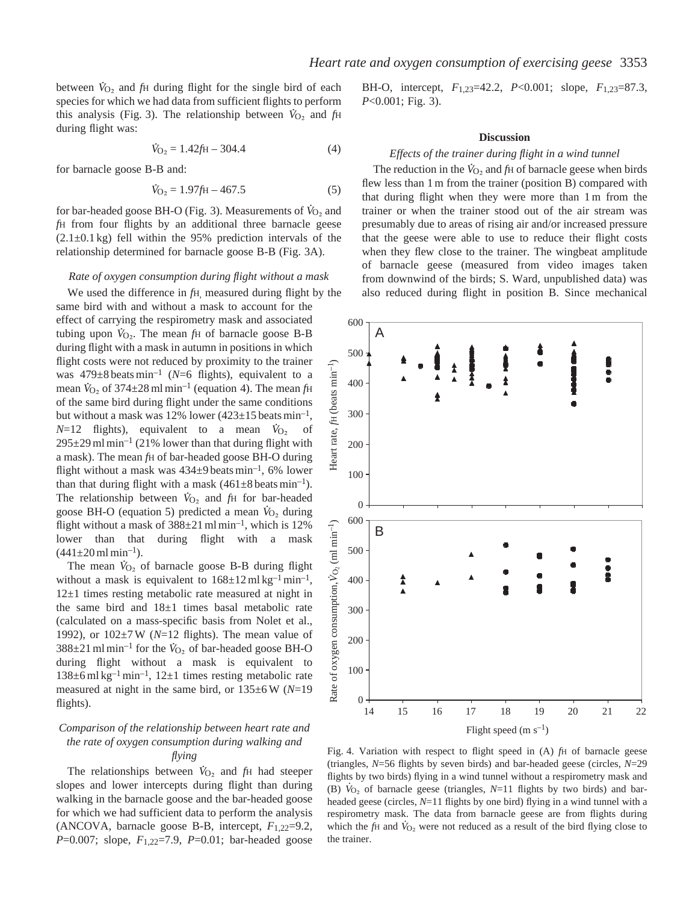between  $\dot{V}_{\text{O}_2}$  and *f*H during flight for the single bird of each species for which we had data from sufficient flights to perform this analysis (Fig. 3). The relationship between  $\dot{V}_{O_2}$  and  $f_H$ during flight was:

$$
\dot{V}_{\text{O}_2} = 1.42 \text{ft} - 304.4 \tag{4}
$$

for barnacle goose B-B and:

$$
\dot{V}_{\text{O}_2} = 1.97 \text{ft} - 467.5 \tag{5}
$$

for bar-headed goose BH-O (Fig. 3). Measurements of  $\dot{V}_{\text{O}_2}$  and *f*H from four flights by an additional three barnacle geese  $(2.1\pm0.1 \text{ kg})$  fell within the 95% prediction intervals of the relationship determined for barnacle goose B-B (Fig. 3A).

### *Rate of oxygen consumption during flight without a mask*

We used the difference in *f*H, measured during flight by the same bird with and without a mask to account for the effect of carrying the respirometry mask and associated tubing upon  $V_{O_2}$ . The mean  $f_H$  of barnacle goose B-B during flight with a mask in autumn in positions in which flight costs were not reduced by proximity to the trainer was  $479\pm8$  beats min<sup>-1</sup> (*N*=6 flights), equivalent to a mean  $\dot{V}_{\text{O}_2}$  of 374±28 ml min<sup>-1</sup> (equation 4). The mean *f*H of the same bird during flight under the same conditions but without a mask was 12% lower  $(423\pm15 \text{ beats min}^{-1})$  $N=12$  flights), equivalent to a mean  $\dot{V}_{O_2}$  of  $295\pm29$  ml min<sup>-1</sup> (21% lower than that during flight with a mask). The mean *f*H of bar-headed goose BH-O during flight without a mask was  $434\pm9$  beats min<sup>-1</sup>, 6% lower than that during flight with a mask  $(461\pm8 \text{ beats min}^{-1})$ . The relationship between  $V_{\text{O}_2}$  and  $f_{\text{H}}$  for bar-headed goose BH-O (equation 5) predicted a mean  $\dot{V}_{O_2}$  during flight without a mask of  $388\pm21$  ml min<sup>-1</sup>, which is 12% lower than that during flight with a mask  $(441 \pm 20 \text{ ml min}^{-1}).$ 

The mean  $\dot{V}_{O_2}$  of barnacle goose B-B during flight without a mask is equivalent to  $168 \pm 12 \,\text{ml} \,\text{kg}^{-1} \,\text{min}^{-1}$ , 12±1 times resting metabolic rate measured at night in the same bird and 18±1 times basal metabolic rate (calculated on a mass-specific basis from Nolet et al., 1992), or  $102 \pm 7$  W ( $N=12$  flights). The mean value of  $388\pm21$  ml min<sup>-1</sup> for the  $\dot{V}_{\text{O}_2}$  of bar-headed goose BH-O during flight without a mask is equivalent to  $138\pm6$  ml kg<sup>-1</sup> min<sup>-1</sup>,  $12\pm1$  times resting metabolic rate measured at night in the same bird, or 135±6 W (*N*=19 flights).

# *Comparison of the relationship between heart rate and the rate of oxygen consumption during walking and flying*

The relationships between  $\dot{V}_{\text{O}_2}$  and  $f_{\text{H}}$  had steeper slopes and lower intercepts during flight than during walking in the barnacle goose and the bar-headed goose for which we had sufficient data to perform the analysis (ANCOVA, barnacle goose B-B, intercept, *F*1,22=9.2, *P*=0.007; slope, *F*1,22=7.9, *P*=0.01; bar-headed goose

BH-O, intercept, *F*1,23=42.2, *P*<0.001; slope, *F*1,23=87.3, *P*<0.001; Fig. 3).

### **Discussion**

#### *Effects of the trainer during flight in a wind tunnel*

The reduction in the  $\dot{V}_{O_2}$  and  $f_H$  of barnacle geese when birds flew less than 1 m from the trainer (position B) compared with that during flight when they were more than 1 m from the trainer or when the trainer stood out of the air stream was presumably due to areas of rising air and/or increased pressure that the geese were able to use to reduce their flight costs when they flew close to the trainer. The wingbeat amplitude of barnacle geese (measured from video images taken from downwind of the birds; S. Ward, unpublished data) was also reduced during flight in position B. Since mechanical



Fig. 4. Variation with respect to flight speed in (A) *f*H of barnacle geese (triangles, *N*=56 flights by seven birds) and bar-headed geese (circles, *N*=29 flights by two birds) flying in a wind tunnel without a respirometry mask and . (B)  $V_{O_2}$  of barnacle geese (triangles,  $N=11$  flights by two birds) and barheaded geese (circles, *N*=11 flights by one bird) flying in a wind tunnel with a respirometry mask. The data from barnacle geese are from flights during . which the  $f$ H and  $\dot{V}_{O_2}$  were not reduced as a result of the bird flying close to the trainer.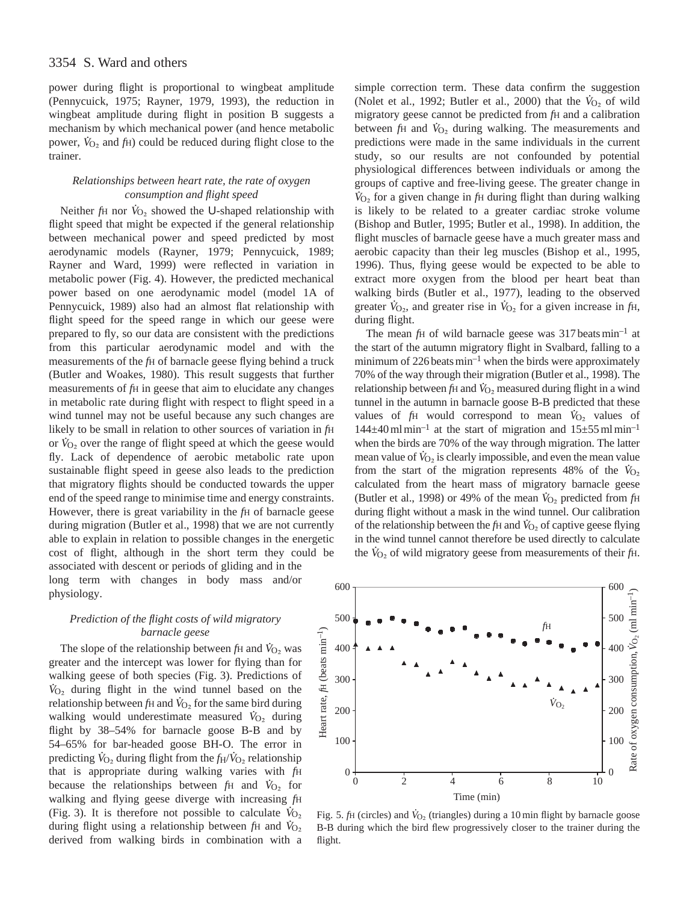power during flight is proportional to wingbeat amplitude (Pennycuick, 1975; Rayner, 1979, 1993), the reduction in wingbeat amplitude during flight in position B suggests a mechanism by which mechanical power (and hence metabolic power,  $\dot{V}_{\text{O}_2}$  and  $f_{\text{H}}$ ) could be reduced during flight close to the trainer.

# *Relationships between heart rate, the rate of oxygen consumption and flight speed*

Neither *fH* nor  $\dot{V}_{O_2}$  showed the U-shaped relationship with flight speed that might be expected if the general relationship between mechanical power and speed predicted by most aerodynamic models (Rayner, 1979; Pennycuick, 1989; Rayner and Ward, 1999) were reflected in variation in metabolic power (Fig. 4). However, the predicted mechanical power based on one aerodynamic model (model 1A of Pennycuick, 1989) also had an almost flat relationship with flight speed for the speed range in which our geese were prepared to fly, so our data are consistent with the predictions from this particular aerodynamic model and with the measurements of the *f*H of barnacle geese flying behind a truck (Butler and Woakes, 1980). This result suggests that further measurements of *f*H in geese that aim to elucidate any changes in metabolic rate during flight with respect to flight speed in a wind tunnel may not be useful because any such changes are likely to be small in relation to other sources of variation in *fH* or  $\hat{V}_{O_2}$  over the range of flight speed at which the geese would fly. Lack of dependence of aerobic metabolic rate upon sustainable flight speed in geese also leads to the prediction that migratory flights should be conducted towards the upper end of the speed range to minimise time and energy constraints. However, there is great variability in the *f*H of barnacle geese during migration (Butler et al., 1998) that we are not currently able to explain in relation to possible changes in the energetic cost of flight, although in the short term they could be associated with descent or periods of gliding and in the long term with changes in body mass and/or physiology.

# *Prediction of the flight costs of wild migratory barnacle geese*

The slope of the relationship between  $fH$  and  $\dot{V}_{O_2}$  was greater and the intercept was lower for flying than for walking geese of both species (Fig. 3). Predictions of  $V_{\text{O}_2}$  during flight in the wind tunnel based on the relationship between *f*H and  $V_{\text{O}_2}$  for the same bird during walking would underestimate measured  $\dot{V}_{\text{O}_2}$  during flight by 38–54% for barnacle goose B-B and by 54–65% for bar-headed goose BH-O. The error in . . predicting  $\dot{V}_{\text{O}_2}$  during flight from the  $f_H/\dot{V}_{\text{O}_2}$  relationship that is appropriate during walking varies with *f*H . because the relationships between  $fH$  and  $\dot{V}_{O_2}$  for walking and flying geese diverge with increasing *fH* (Fig. 3). It is therefore not possible to calculate  $V_{Q_2}$ during flight using a relationship between *f*H and  $\dot{V}_{O_2}$ derived from walking birds in combination with a

simple correction term. These data confirm the suggestion (Nolet et al., 1992; Butler et al., 2000) that the  $\dot{V}_{O_2}$  of wild migratory geese cannot be predicted from *f*H and a calibration between  $f$ H and  $\dot{V}_{O_2}$  during walking. The measurements and predictions were made in the same individuals in the current study, so our results are not confounded by potential physiological differences between individuals or among the groups of captive and free-living geese. The greater change in . *V* <sup>O</sup>∑ for a given change in *f*<sup>H</sup> during flight than during walking is likely to be related to a greater cardiac stroke volume (Bishop and Butler, 1995; Butler et al., 1998). In addition, the flight muscles of barnacle geese have a much greater mass and aerobic capacity than their leg muscles (Bishop et al., 1995, 1996). Thus, flying geese would be expected to be able to extract more oxygen from the blood per heart beat than walking birds (Butler et al., 1977), leading to the observed greater  $\dot{V}_{\text{O}_2}$ , and greater rise in  $\dot{V}_{\text{O}_2}$  for a given increase in  $f_{\text{H}}$ , during flight.

The mean *f*H of wild barnacle geese was 317 beats min<sup>-1</sup> at the start of the autumn migratory flight in Svalbard, falling to a minimum of  $226$  beats min<sup>-1</sup> when the birds were approximately 70% of the way through their migration (Butler et al., 1998). The . relationship between *f*H and  $\dot{V}_{O_2}$  measured during flight in a wind tunnel in the autumn in barnacle goose B-B predicted that these . values of  $fH$  would correspond to mean  $\dot{V}_{O_2}$  values of  $144\pm40$  ml min<sup>-1</sup> at the start of migration and  $15\pm55$  ml min<sup>-1</sup> when the birds are 70% of the way through migration. The latter mean value of  $V_{\text{O}_2}$  is clearly impossible, and even the mean value from the start of the migration represents 48% of the  $\dot{V}_{O_2}$ calculated from the heart mass of migratory barnacle geese (Butler et al., 1998) or 49% of the mean  $\dot{V}_{O_2}$  predicted from  $f_H$ during flight without a mask in the wind tunnel. Our calibration of the relationship between the *f*H and  $\dot{V}_{O_2}$  of captive geese flying in the wind tunnel cannot therefore be used directly to calculate the  $V_{O<sub>2</sub>}$  of wild migratory geese from measurements of their *f*H.



Fig. 5. *f*H (circles) and  $\dot{V}_{O_2}$  (triangles) during a 10 min flight by barnacle goose B-B during which the bird flew progressively closer to the trainer during the flight.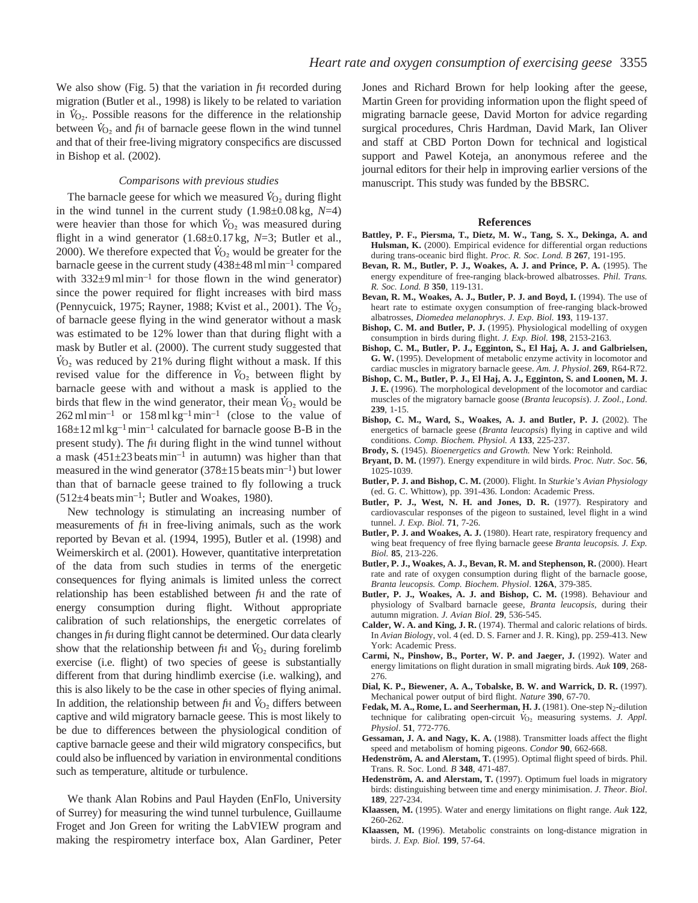We also show (Fig. 5) that the variation in *f*H recorded during migration (Butler et al., 1998) is likely to be related to variation in  $V_{\text{O}_2}$ . Possible reasons for the difference in the relationship between  $\dot{V}_{O_2}$  and  $f_H$  of barnacle geese flown in the wind tunnel and that of their free-living migratory conspecifics are discussed in Bishop et al. (2002).

#### *Comparisons with previous studies*

 $T$ he barnacle geese for which we measured  $\dot{V}_{Q_2}$  during flight in the wind tunnel in the current study  $(1.98\pm0.08 \text{ kg}, N=4)$ were heavier than those for which  $\dot{V}_{O_2}$  was measured during flight in a wind generator  $(1.68 \pm 0.17 \text{ kg}, N=3)$ ; Butler et al., 2000). We therefore expected that  $\dot{V}_{\text{O}_2}$  would be greater for the barnacle geese in the current study  $(438\pm48 \text{ ml min}^{-1}$  compared with  $332\pm9$  ml min<sup>-1</sup> for those flown in the wind generator) since the power required for flight increases with bird mass (Pennycuick, 1975; Rayner, 1988; Kvist et al., 2001). The *V* O∑ of barnacle geese flying in the wind generator without a mask was estimated to be 12% lower than that during flight with a mask by Butler et al. (2000). The current study suggested that  $V_{\text{O}_2}$  was reduced by 21% during flight without a mask. If this revised value for the difference in  $\dot{V}_{O_2}$  between flight by barnacle geese with and without a mask is applied to the birds that flew in the wind generator, their mean  $\hat{V}_{O_2}$  would be  $262$  ml min<sup>-1</sup> or  $158$  ml kg<sup>-1</sup> min<sup>-1</sup> (close to the value of  $168\pm12$  ml kg<sup>-1</sup> min<sup>-1</sup> calculated for barnacle goose B-B in the present study). The *f*H during flight in the wind tunnel without a mask  $(451\pm23$  beats min<sup>-1</sup> in autumn) was higher than that measured in the wind generator  $(378\pm15$  beats min<sup>-1</sup>) but lower than that of barnacle geese trained to fly following a truck  $(512\pm4$  beats min<sup>-1</sup>; Butler and Woakes, 1980).

New technology is stimulating an increasing number of measurements of *f*H in free-living animals, such as the work reported by Bevan et al. (1994, 1995), Butler et al. (1998) and Weimerskirch et al. (2001). However, quantitative interpretation of the data from such studies in terms of the energetic consequences for flying animals is limited unless the correct relationship has been established between *f*H and the rate of energy consumption during flight. Without appropriate calibration of such relationships, the energetic correlates of changes in *f*H during flight cannot be determined. Our data clearly . show that the relationship between  $fH$  and  $V_{O_2}$  during forelimb exercise (i.e. flight) of two species of geese is substantially different from that during hindlimb exercise (i.e. walking), and this is also likely to be the case in other species of flying animal. . In addition, the relationship between  $fH$  and  $\dot{V}_{O_2}$  differs between captive and wild migratory barnacle geese. This is most likely to be due to differences between the physiological condition of captive barnacle geese and their wild migratory conspecifics, but could also be influenced by variation in environmental conditions such as temperature, altitude or turbulence.

We thank Alan Robins and Paul Hayden (EnFlo, University of Surrey) for measuring the wind tunnel turbulence, Guillaume Froget and Jon Green for writing the LabVIEW program and making the respirometry interface box, Alan Gardiner, Peter

Jones and Richard Brown for help looking after the geese, Martin Green for providing information upon the flight speed of migrating barnacle geese, David Morton for advice regarding surgical procedures, Chris Hardman, David Mark, Ian Oliver and staff at CBD Porton Down for technical and logistical support and Pawel Koteja, an anonymous referee and the journal editors for their help in improving earlier versions of the manuscript. This study was funded by the BBSRC.

#### **References**

- **Battley, P. F., Piersma, T., Dietz, M. W., Tang, S. X., Dekinga, A. and Hulsman, K.** (2000). Empirical evidence for differential organ reductions during trans-oceanic bird flight. *Proc. R. Soc. Lond. B* **267**, 191-195.
- **Bevan, R. M., Butler, P. J., Woakes, A. J. and Prince, P. A.** (1995). The energy expenditure of free-ranging black-browed albatrosses. *Phil. Trans. R. Soc. Lond. B* **350**, 119-131.
- **Bevan, R. M., Woakes, A. J., Butler, P. J. and Boyd, I.** (1994). The use of heart rate to estimate oxygen consumption of free-ranging black-browed albatrosses, *Diomedea melanophrys*. *J. Exp. Biol.* **193**, 119-137.
- **Bishop, C. M. and Butler, P. J.** (1995). Physiological modelling of oxygen consumption in birds during flight. *J. Exp. Biol.* **198**, 2153-2163.
- **Bishop, C. M., Butler, P. J., Egginton, S., El Haj, A. J. and Galbrielsen, G. W.** (1995). Development of metabolic enzyme activity in locomotor and cardiac muscles in migratory barnacle geese. *Am. J. Physiol*. **269**, R64-R72.
- **Bishop, C. M., Butler, P. J., El Haj, A. J., Egginton, S. and Loonen, M. J. J. E.** (1996). The morphological development of the locomotor and cardiac muscles of the migratory barnacle goose (*Branta leucopsis*). *J. Zool., Lond*. **239**, 1-15.
- **Bishop, C. M., Ward, S., Woakes, A. J. and Butler, P. J.** (2002). The energetics of barnacle geese (*Branta leucopsis*) flying in captive and wild conditions. *Comp. Biochem. Physiol. A* **133**, 225-237.
- **Brody, S.** (1945). *Bioenergetics and Growth.* New York: Reinhold.
- **Bryant, D. M.** (1997). Energy expenditure in wild birds. *Proc. Nutr. Soc*. **56**, 1025-1039.
- **Butler, P. J. and Bishop, C. M.** (2000). Flight. In *Sturkie's Avian Physiology* (ed. G. C. Whittow), pp. 391-436. London: Academic Press.
- Butler, P. J., West, N. H. and Jones, D. R. (1977). Respiratory and cardiovascular responses of the pigeon to sustained, level flight in a wind tunnel. *J. Exp. Biol.* **71**, 7-26.
- **Butler, P. J. and Woakes, A. J.** (1980). Heart rate, respiratory frequency and wing beat frequency of free flying barnacle geese *Branta leucopsis. J. Exp. Biol.* **85**, 213-226.
- **Butler, P. J., Woakes, A. J., Bevan, R. M. and Stephenson, R.** (2000). Heart rate and rate of oxygen consumption during flight of the barnacle goose, *Branta leucopsis. Comp. Biochem. Physiol*. **126A**, 379-385.
- **Butler, P. J., Woakes, A. J. and Bishop, C. M.** (1998). Behaviour and physiology of Svalbard barnacle geese, *Branta leucopsis*, during their autumn migration. *J. Avian Biol*. **29**, 536-545.
- **Calder, W. A. and King, J. R.** (1974). Thermal and caloric relations of birds. In *Avian Biolog*y, vol. 4 (ed. D. S. Farner and J. R. King), pp. 259-413. New York: Academic Press.
- **Carmi, N., Pinshow, B., Porter, W. P. and Jaeger, J.** (1992). Water and energy limitations on flight duration in small migrating birds. *Auk* **109**, 268- 276.
- **Dial, K. P., Biewener, A. A., Tobalske, B. W. and Warrick, D. R.** (1997). Mechanical power output of bird flight. *Nature* **390**, 67-70.
- Fedak, M. A., Rome, L. and Seerherman, H. J. (1981). One-step N<sub>2</sub>-dilution technique for calibrating open-circuit *V*<sub>O2</sub> measuring systems. *J. Appl. Physiol*. **51**, 772-776.
- **Gessaman, J. A. and Nagy, K. A.** (1988). Transmitter loads affect the flight speed and metabolism of homing pigeons. *Condor* **90**, 662-668.
- **Hedenström, A. and Alerstam, T.** (1995). Optimal flight speed of birds. Phil. Trans. R. Soc. Lond. *B* **348**, 471-487.
- **Hedenström, A. and Alerstam, T.** (1997). Optimum fuel loads in migratory birds: distinguishing between time and energy minimisation. *J. Theor. Biol*. **189**, 227-234.
- **Klaassen, M.** (1995). Water and energy limitations on flight range. *Auk* **122**, 260-262.
- **Klaassen, M.** (1996). Metabolic constraints on long-distance migration in birds. *J. Exp. Biol.* **199**, 57-64.